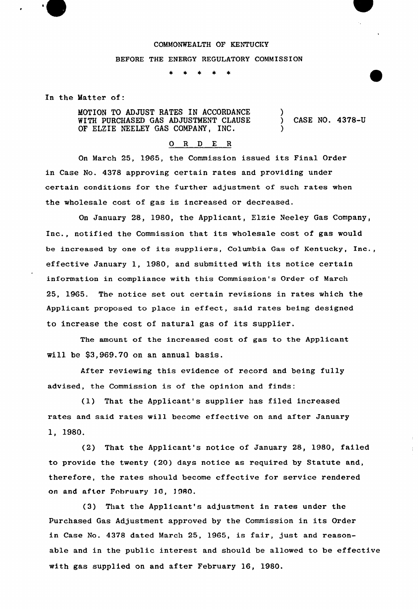### COMMONWEALTH OF KENTUCKY

#### BEFORE THE ENERGY REGULATORY COMMISSION

In the Matter of:

MOTION TO ADJUST RATES IN ACCORDANCE WITH PURCHASED GAS ADJUSTMENT CLAUSE OF ELZIE NEELEY GAS COMPANY, INC. ) ) CASE NO. 4378-U )

## 0 R <sup>D</sup> E <sup>R</sup>

On March 25, 1965, the Commission issued its Final Order in Case No. 4378 approving certain rates and providing under certain conditions for the further adjustment of such rates when the wholesale cost of gas is increased or decreased.

On January 28, 1980, the Applicant, Elzie Neeley Gas Company, Inc., notified the Commission that its wholesale cost of gas would be increased by one of its suppliers, Columbia Gas of Kentucky, Inc., effective January 1, 1980, and submitted with its notice certain information in compliance with this Commission's Order of March 25, 1965. The notice set out certain revisions in rates which the Applicant proposed to place in effect, said rates being designed to increase the cost of natural gas of its supplier.

The amount of the increased cost of gas to the Applicant vill be \$3,969.70 on an annual basis.

After reviewing this evidence of record and being fully advised, the Commission is of the opinion and finds:

(1) That the Applicant's supplier has filed increased rates and said rates will become effective on and after January 1, 1980.

(2) That the Applicant's notice of January 28, 1980, failed to provide the twenty (20) days notice as required by Statute and, therefore, the rates should become effective for service rendered on and after February 16, 1980.

(3) That the Applicant's adjustment in rates under the Purchased Gas Adjustment approved by the Commission in its Order in Case No. 4378 dated March 25, 1965, is fair, just and reasonable and in the public interest and should be allowed to be effective with gas supplied on and after February 16, 1980.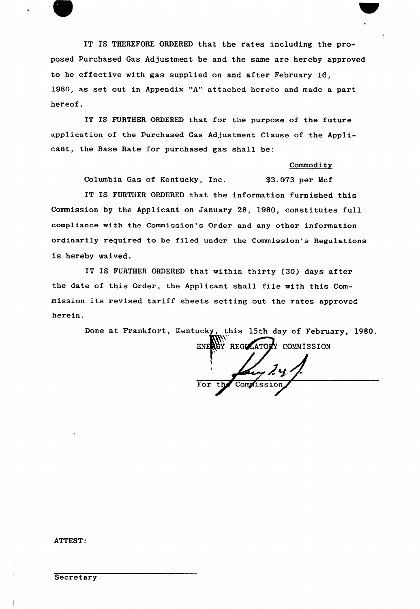

IT IS THEREFORE ORDERED that the rates including the proposed purchased Gas Adjustment be and the same are hereby approved to be effective with gas supplied on and after February 16, 1980, as set out in Appendix "A" attached hereto and made a part hereof.

IT IS FURTHER ORDERED that for the purpose of the future application of the Purchased Gas Adjustment Clause of the Applicant, the Base Rate for purchased gas shall be:

### **Commodity**

Columbia Gas of Kentucky, Inc. \$3.073 per Mcf

IT IS FURTHER ORDERED that the information furnished this Commission by the Applicant on January 28, 1980, constitutes full compliance with the Commission's Order and any other information ordinarily required to be filed under the Commission's Regulations is hereby waived.

IT IS FURTHER ORDERED that within thirty (30) days after the date of this Order, the Applicant shall file with this Commission its revised tariff sheets setting out the rates approved herein.

> Done at Frankfort, kentucky, this 15th day of February, 1980. Khiri ENERGY REGULATORY COMMISSION

> > For pt<br>Computesio

ATTEST.

**Secretary**